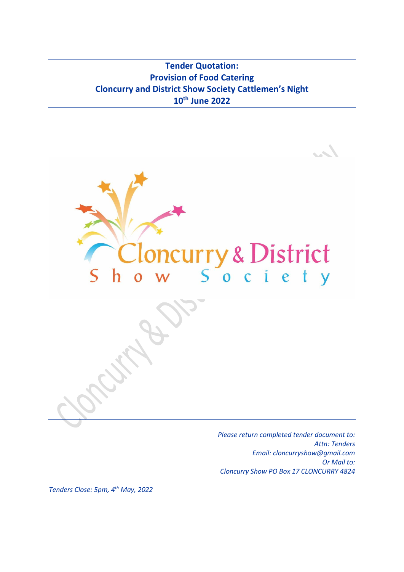**Tender Quotation: Provision of Food Catering Cloncurry and District Show Society Cattlemen's Night 10th June 2022**



*Please return completed tender document to: Attn: Tenders Email: cloncurryshow@gmail.com Or Mail to: Cloncurry Show PO Box 17 CLONCURRY 4824*

*Tenders Close: 5pm, 4 th May, 2022*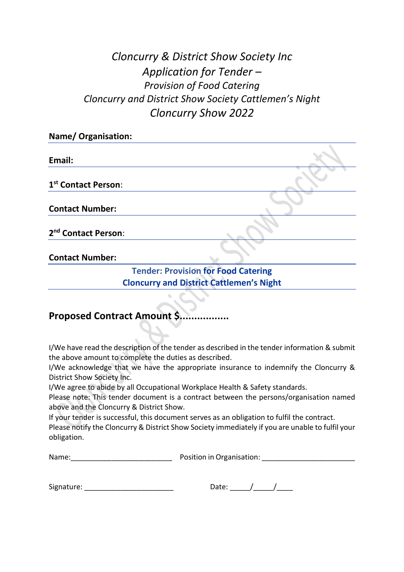## *Cloncurry & District Show Society Inc Application for Tender – Provision of Food Catering Cloncurry and District Show Society Cattlemen's Night Cloncurry Show 2022*

| <b>Name/ Organisation:</b>      |  |
|---------------------------------|--|
|                                 |  |
| Email:                          |  |
|                                 |  |
| 1st Contact Person:             |  |
|                                 |  |
| <b>Contact Number:</b>          |  |
|                                 |  |
| 2 <sup>nd</sup> Contact Person: |  |
|                                 |  |

**Contact Number:**

### **Tender: Provision for Food Catering Cloncurry and District Cattlemen's Night**

## **Proposed Contract Amount S...**

I/We have read the description of the tender as described in the tender information & submit the above amount to complete the duties as described.

I/We acknowledge that we have the appropriate insurance to indemnify the Cloncurry & District Show Society Inc.

I/We agree to abide by all Occupational Workplace Health & Safety standards.

Please note: This tender document is a contract between the persons/organisation named above and the Cloncurry & District Show.

If your tender is successful, this document serves as an obligation to fulfil the contract.

Please notify the Cloncurry & District Show Society immediately if you are unable to fulfil your obligation.

|  | Name: | Position in Organisation: |
|--|-------|---------------------------|
|--|-------|---------------------------|

| Signature: |  |  |
|------------|--|--|
|            |  |  |

| Date: |  |  |
|-------|--|--|
|       |  |  |